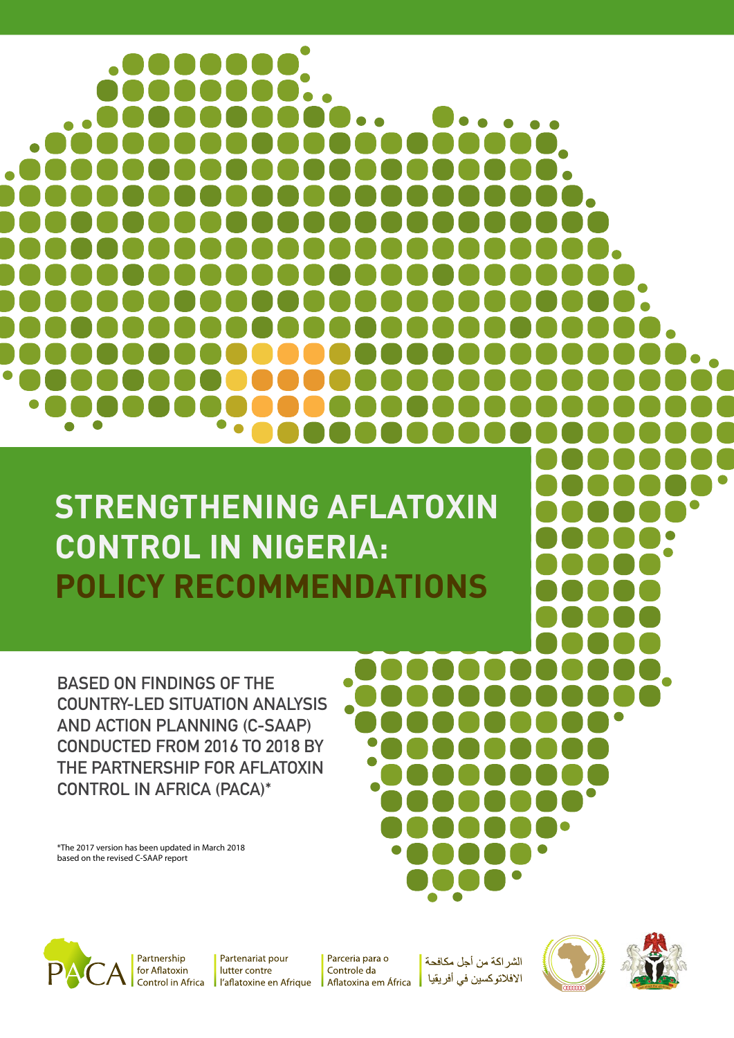**STRENGTHENING AFLATOXIN CONTROL IN NIGERIA: POLICY RECOMMENDATIONS**

**BASED ON FINDINGS OF THE COUNTRY-LED SITUATION ANALYSIS AND ACTION PLANNING (C-SAAP) CONDUCTED FROM 2016 TO 2018 BY THE PARTNERSHIP FOR AFLATOXIN CONTROL IN AFRICA (PACA)\***

\*The 2017 version has been updated in March 2018 based on the revised C-SAAP report



Partenariat pour lutter contre l'aflatoxine en Afrique

Parceria para o Controle da Aflatoxina em África

الشر اكة من أجل مكافحة الافلاتوكسين في أفريقيا



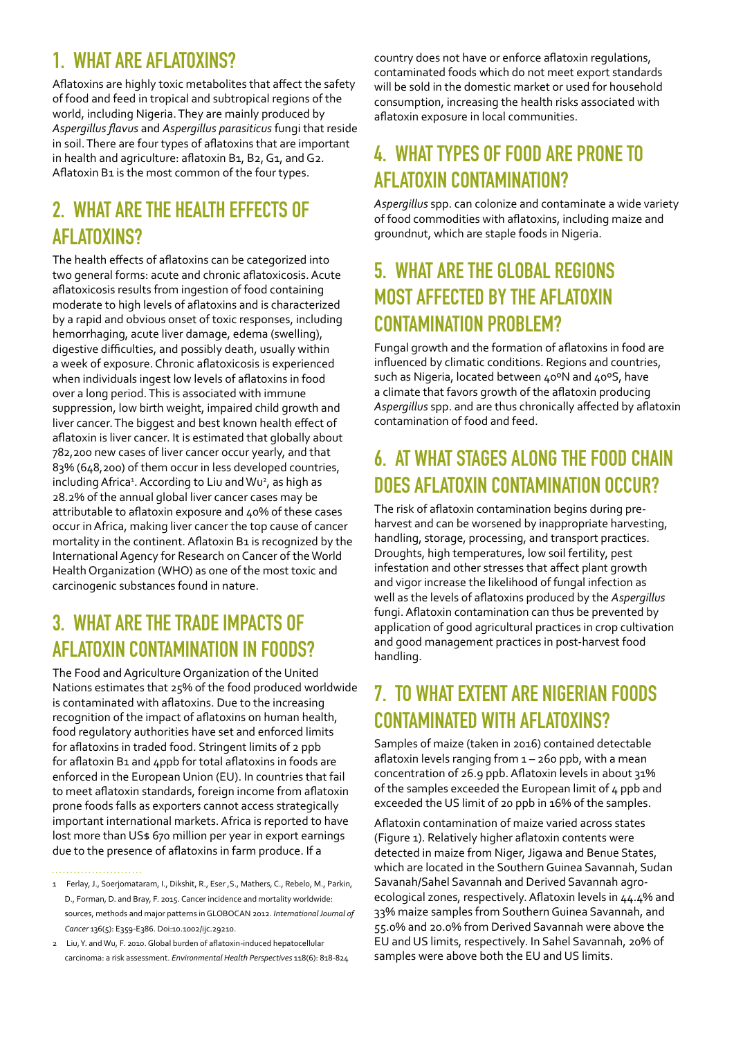# **1. WHAT ARE AFLATOXINS?**

Aflatoxins are highly toxic metabolites that affect the safety of food and feed in tropical and subtropical regions of the world, including Nigeria. They are mainly produced by *Aspergillus flavus* and *Aspergillus parasiticus* fungi that reside in soil. There are four types of aflatoxins that are important in health and agriculture: aflatoxin B1, B2, G1, and G2. Aflatoxin B1 is the most common of the four types.

# **2. WHAT ARE THE HEALTH EFFECTS OF AFLATOXINS?**

The health effects of aflatoxins can be categorized into two general forms: acute and chronic aflatoxicosis. Acute aflatoxicosis results from ingestion of food containing moderate to high levels of aflatoxins and is characterized by a rapid and obvious onset of toxic responses, including hemorrhaging, acute liver damage, edema (swelling), digestive difficulties, and possibly death, usually within a week of exposure. Chronic aflatoxicosis is experienced when individuals ingest low levels of aflatoxins in food over a long period. This is associated with immune suppression, low birth weight, impaired child growth and liver cancer. The biggest and best known health effect of aflatoxin is liver cancer. It is estimated that globally about 782,200 new cases of liver cancer occur yearly, and that 83% (648,200) of them occur in less developed countries, including Africa<sup>1</sup>. According to Liu and Wu<sup>2</sup>, as high as 28.2% of the annual global liver cancer cases may be attributable to aflatoxin exposure and 40% of these cases occur in Africa, making liver cancer the top cause of cancer mortality in the continent. Aflatoxin B1 is recognized by the International Agency for Research on Cancer of the World Health Organization (WHO) as one of the most toxic and carcinogenic substances found in nature.

## **3. WHAT ARE THE TRADE IMPACTS OF AFLATOXIN CONTAMINATION IN FOODS?**

The Food and Agriculture Organization of the United Nations estimates that 25% of the food produced worldwide is contaminated with aflatoxins. Due to the increasing recognition of the impact of aflatoxins on human health, food regulatory authorities have set and enforced limits for aflatoxins in traded food. Stringent limits of 2 ppb for aflatoxin B1 and 4ppb for total aflatoxins in foods are enforced in the European Union (EU). In countries that fail to meet aflatoxin standards, foreign income from aflatoxin prone foods falls as exporters cannot access strategically important international markets. Africa is reported to have lost more than US\$ 670 million per year in export earnings due to the presence of aflatoxins in farm produce. If a

country does not have or enforce aflatoxin regulations, contaminated foods which do not meet export standards will be sold in the domestic market or used for household consumption, increasing the health risks associated with aflatoxin exposure in local communities.

## **4. WHAT TYPES OF FOOD ARE PRONE TO AFLATOXIN CONTAMINATION?**

*Aspergillus* spp. can colonize and contaminate a wide variety of food commodities with aflatoxins, including maize and groundnut, which are staple foods in Nigeria.

#### **5. WHAT ARE THE GLOBAL REGIONS MOST AFFECTED BY THE AFLATOXIN CONTAMINATION PROBLEM?**

Fungal growth and the formation of aflatoxins in food are influenced by climatic conditions. Regions and countries, such as Nigeria, located between 40°N and 40°S, have a climate that favors growth of the aflatoxin producing *Aspergillus* spp. and are thus chronically affected by aflatoxin contamination of food and feed.

# **6. AT WHAT STAGES ALONG THE FOOD CHAIN DOES AFLATOXIN CONTAMINATION OCCUR?**

The risk of aflatoxin contamination begins during preharvest and can be worsened by inappropriate harvesting, handling, storage, processing, and transport practices. Droughts, high temperatures, low soil fertility, pest infestation and other stresses that affect plant growth and vigor increase the likelihood of fungal infection as well as the levels of aflatoxins produced by the *Aspergillus* fungi. Aflatoxin contamination can thus be prevented by application of good agricultural practices in crop cultivation and good management practices in post-harvest food handling.

#### **7. TO WHAT EXTENT ARE NIGERIAN FOODS CONTAMINATED WITH AFLATOXINS?**

Samples of maize (taken in 2016) contained detectable aflatoxin levels ranging from  $1 - 260$  ppb, with a mean concentration of 26.9 ppb. Aflatoxin levels in about 31% of the samples exceeded the European limit of 4 ppb and exceeded the US limit of 20 ppb in 16% of the samples.

Aflatoxin contamination of maize varied across states (Figure 1). Relatively higher aflatoxin contents were detected in maize from Niger, Jigawa and Benue States, which are located in the Southern Guinea Savannah, Sudan Savanah/Sahel Savannah and Derived Savannah agroecological zones, respectively. Aflatoxin levels in 44.4% and 33% maize samples from Southern Guinea Savannah, and 55.0% and 20.0% from Derived Savannah were above the EU and US limits, respectively. In Sahel Savannah, 20% of samples were above both the EU and US limits.

<sup>1</sup> Ferlay, J., Soerjomataram, I., Dikshit, R., Eser ,S., Mathers, C., Rebelo, M., Parkin, D., Forman, D. and Bray, F. 2015. Cancer incidence and mortality worldwide: sources, methods and major patterns in GLOBOCAN 2012. *International Journal of Cancer* 136(5): E359-E386. Doi:10.1002/ijc.29210.

<sup>2</sup> Liu, Y. and Wu, F. 2010. Global burden of aflatoxin-induced hepatocellular carcinoma: a risk assessment. *Environmental Health Perspectives* 118(6): 818-824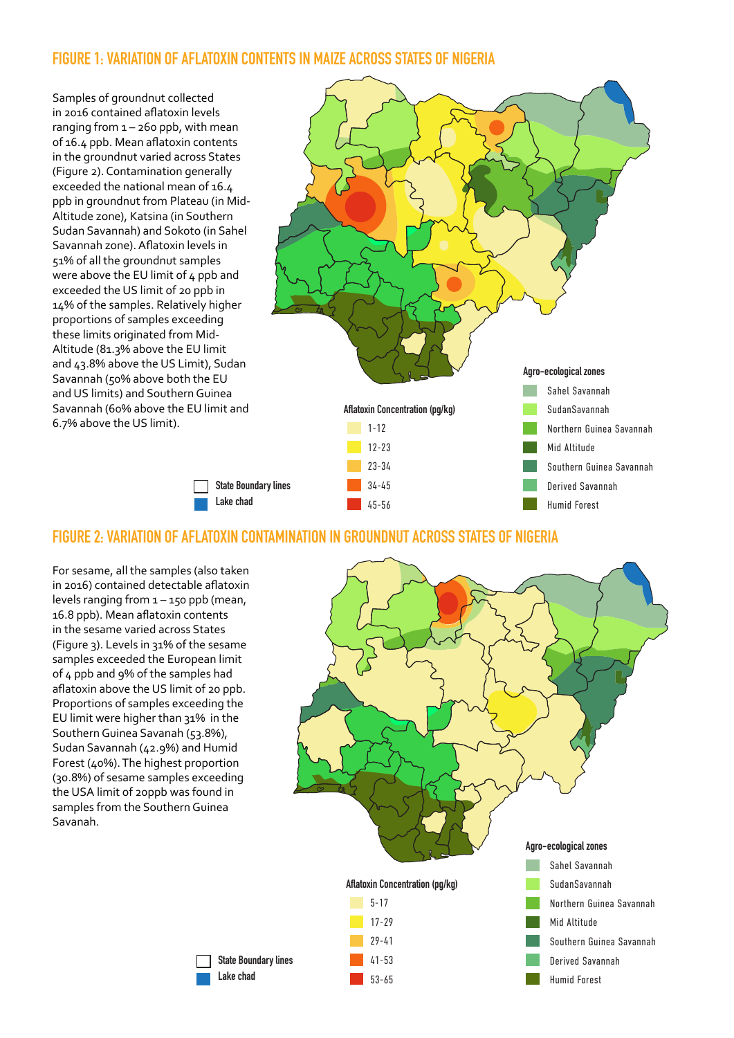#### **FIGURE 1: VARIATION OF AFLATOXIN CONTENTS IN MAIZE ACROSS STATES OF NIGERIA**

Samples of groundnut collected in 2016 contained aflatoxin levels ranging from  $1 - 260$  ppb, with mean of 16.4 ppb. Mean aflatoxin contents in the groundnut varied across States (Figure 2). Contamination generally exceeded the national mean of 16.4 ppb in groundnut from Plateau (in Mid-Altitude zone), Katsina (in Southern Sudan Savannah) and Sokoto (in Sahel Savannah zone). Aflatoxin levels in 51% of all the groundnut samples were above the EU limit of 4 ppb and exceeded the US limit of 20 ppb in 14% of the samples. Relatively higher proportions of samples exceeding these limits originated from Mid-Altitude (81.3% above the EU limit and 43.8% above the US Limit), Sudan Savannah (50% above both the EU and US limits) and Southern Guinea Savannah (60% above the EU limit and 6.7% above the US limit).



#### **FIGURE 2: VARIATION OF AFLATOXIN CONTAMINATION IN GROUNDNUT ACROSS STATES OF NIGERIA**

**Lake chad**

For sesame, all the samples (also taken in 2016) contained detectable aflatoxin levels ranging from 1 – 150 ppb (mean, 16.8 ppb). Mean aflatoxin contents in the sesame varied across States (Figure 3). Levels in 31% of the sesame samples exceeded the European limit of 4 ppb and 9% of the samples had aflatoxin above the US limit of 20 ppb. Proportions of samples exceeding the EU limit were higher than 31% in the Southern Guinea Savanah (53.8%), Sudan Savannah (42.9%) and Humid Forest (40%). The highest proportion (30.8%) of sesame samples exceeding the USA limit of 20ppb was found in samples from the Southern Guinea Savanah.

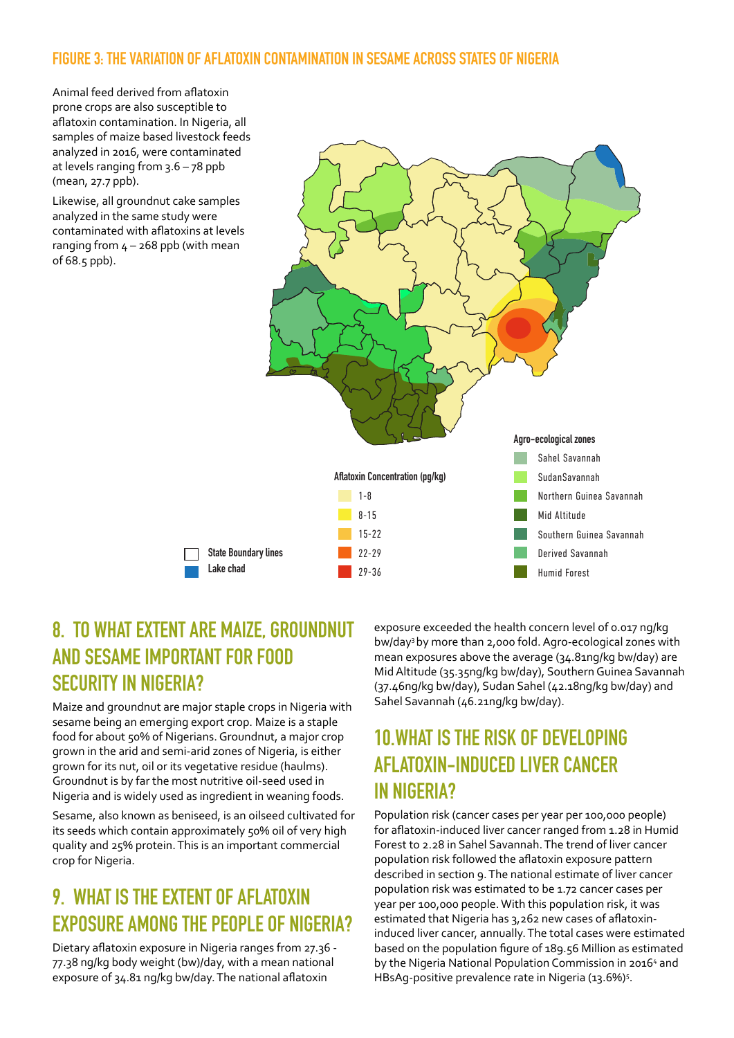#### **FIGURE 3: THE VARIATION OF AFLATOXIN CONTAMINATION IN SESAME ACROSS STATES OF NIGERIA**

Animal feed derived from aflatoxin prone crops are also susceptible to aflatoxin contamination. In Nigeria, all samples of maize based livestock feeds analyzed in 2016, were contaminated at levels ranging from  $3.6 - 78$  ppb (mean, 27.7 ppb).

Likewise, all groundnut cake samples analyzed in the same study were contaminated with aflatoxins at levels ranging from  $4 - 268$  ppb (with mean of 68.5 ppb).



# **8. TO WHAT EXTENT ARE MAIZE, GROUNDNUT AND SESAME IMPORTANT FOR FOOD SECURITY IN NIGERIA?**

Maize and groundnut are major staple crops in Nigeria with sesame being an emerging export crop. Maize is a staple food for about 50% of Nigerians. Groundnut, a major crop grown in the arid and semi-arid zones of Nigeria, is either grown for its nut, oil or its vegetative residue (haulms). Groundnut is by far the most nutritive oil-seed used in Nigeria and is widely used as ingredient in weaning foods.

Sesame, also known as beniseed, is an oilseed cultivated for its seeds which contain approximately 50% oil of very high quality and 25% protein. This is an important commercial crop for Nigeria.

# **9. WHAT IS THE EXTENT OF AFLATOXIN EXPOSURE AMONG THE PEOPLE OF NIGERIA?**

Dietary aflatoxin exposure in Nigeria ranges from 27.36 - 77.38 ng/kg body weight (bw)/day, with a mean national exposure of 34.81 ng/kg bw/day. The national aflatoxin

exposure exceeded the health concern level of 0.017 ng/kg bw/day3 by more than 2,000 fold. Agro-ecological zones with mean exposures above the average (34.81ng/kg bw/day) are Mid Altitude (35.35ng/kg bw/day), Southern Guinea Savannah (37.46ng/kg bw/day), Sudan Sahel (42.18ng/kg bw/day) and Sahel Savannah (46.21ng/kg bw/day).

#### **10.WHAT IS THE RISK OF DEVELOPING AFLATOXIN-INDUCED LIVER CANCER IN NIGERIA?**

Population risk (cancer cases per year per 100,000 people) for aflatoxin-induced liver cancer ranged from 1.28 in Humid Forest to 2.28 in Sahel Savannah. The trend of liver cancer population risk followed the aflatoxin exposure pattern described in section 9. The national estimate of liver cancer population risk was estimated to be 1.72 cancer cases per year per 100,000 people. With this population risk, it was estimated that Nigeria has 3,262 new cases of aflatoxininduced liver cancer, annually. The total cases were estimated based on the population figure of 189.56 Million as estimated by the Nigeria National Population Commission in 2016<sup>4</sup> and HBsAg-positive prevalence rate in Nigeria (13.6%)<sup>5</sup>.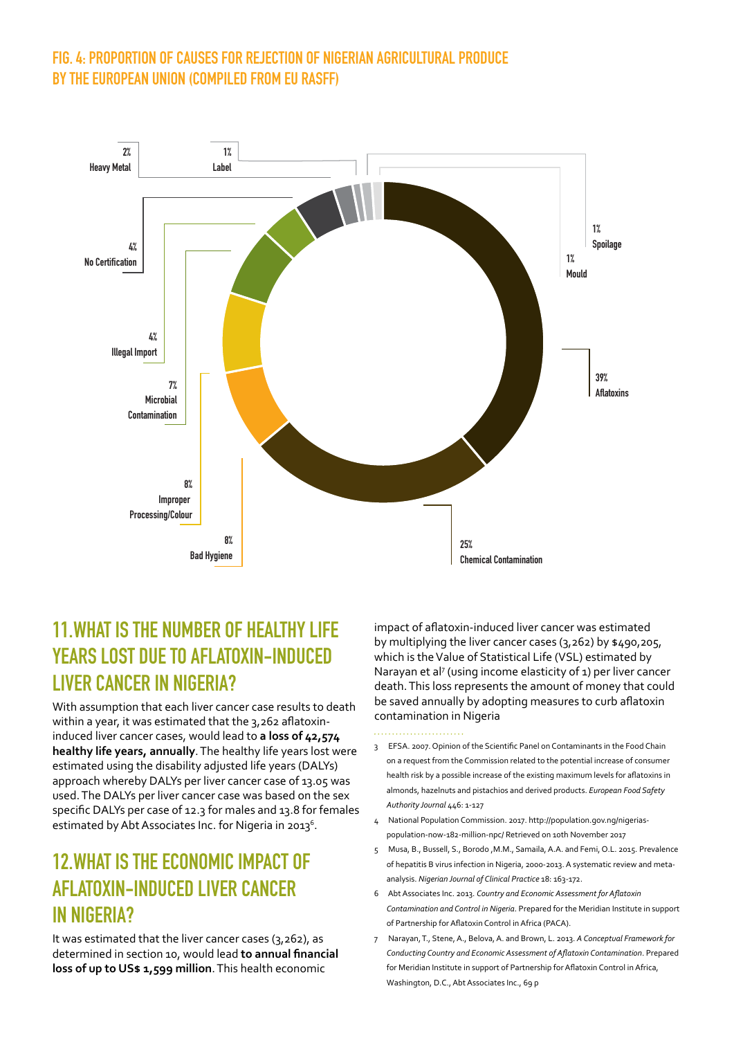#### **FIG. 4: PROPORTION OF CAUSES FOR REJECTION OF NIGERIAN AGRICULTURAL PRODUCE BY THE EUROPEAN UNION (COMPILED FROM EU RASFF)**



#### **11.WHAT IS THE NUMBER OF HEALTHY LIFE YEARS LOST DUE TO AFLATOXIN-INDUCED LIVER CANCER IN NIGERIA?**

With assumption that each liver cancer case results to death within a year, it was estimated that the 3,262 aflatoxininduced liver cancer cases, would lead to **a loss of 42,574 healthy life years, annually**. The healthy life years lost were estimated using the disability adjusted life years (DALYs) approach whereby DALYs per liver cancer case of 13.05 was used. The DALYs per liver cancer case was based on the sex specific DALYs per case of 12.3 for males and 13.8 for females estimated by Abt Associates Inc. for Nigeria in 2013 $^6$ .

#### **12.WHAT IS THE ECONOMIC IMPACT OF AFLATOXIN-INDUCED LIVER CANCER IN NIGERIA?**

It was estimated that the liver cancer cases (3,262), as determined in section 10, would lead **to annual financial loss of up to US\$ 1,599 million**. This health economic

impact of aflatoxin-induced liver cancer was estimated by multiplying the liver cancer cases (3,262) by \$490,205, which is the Value of Statistical Life (VSL) estimated by Narayan et al<sup>7</sup> (using income elasticity of 1) per liver cancer death. This loss represents the amount of money that could be saved annually by adopting measures to curb aflatoxin contamination in Nigeria

- 3 EFSA. 2007. Opinion of the Scientific Panel on Contaminants in the Food Chain on a request from the Commission related to the potential increase of consumer health risk by a possible increase of the existing maximum levels for aflatoxins in almonds, hazelnuts and pistachios and derived products. *European Food Safety Authority Journal* 446: 1-127
- 4 National Population Commission. 2017. http://population.gov.ng/nigeriaspopulation-now-182-million-npc/ Retrieved on 10th November 2017
- 5 Musa, B., Bussell, S., Borodo ,M.M., Samaila, A.A. and Femi, O.L. 2015. Prevalence of hepatitis B virus infection in Nigeria, 2000-2013. A systematic review and metaanalysis. *Nigerian Journal of Clinical Practice* 18: 163-172.
- 6 Abt Associates Inc. 2013. *Country and Economic Assessment for Aflatoxin Contamination and Control in Nigeria*. Prepared for the Meridian Institute in support of Partnership for Aflatoxin Control in Africa (PACA).
- 7 Narayan, T., Stene, A., Belova, A. and Brown, L. 2013. *A Conceptual Framework for Conducting Country and Economic Assessment of Aflatoxin Contamination*. Prepared for Meridian Institute in support of Partnership for Aflatoxin Control in Africa, Washington, D.C., Abt Associates Inc., 69 p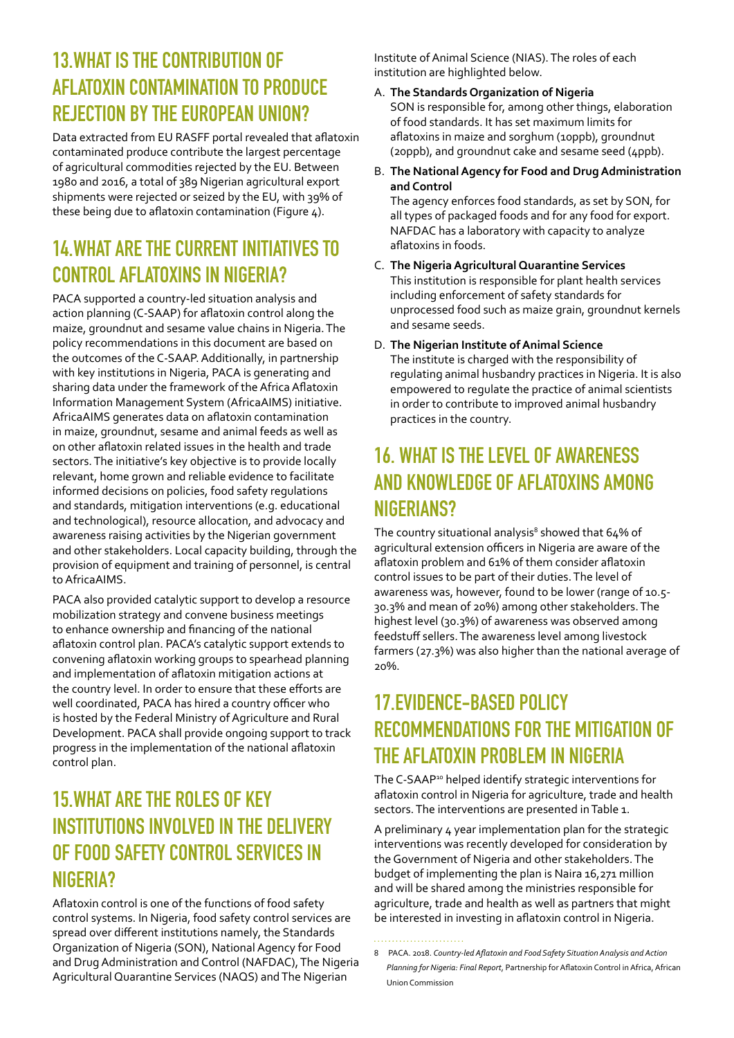## **13.WHAT IS THE CONTRIBUTION OF AFLATOXIN CONTAMINATION TO PRODUCE REJECTION BY THE EUROPEAN UNION?**

Data extracted from EU RASFF portal revealed that aflatoxin contaminated produce contribute the largest percentage of agricultural commodities rejected by the EU. Between 1980 and 2016, a total of 389 Nigerian agricultural export shipments were rejected or seized by the EU, with 39% of these being due to aflatoxin contamination (Figure 4).

# **14.WHAT ARE THE CURRENT INITIATIVES TO CONTROL AFLATOXINS IN NIGERIA?**

PACA supported a country-led situation analysis and action planning (C-SAAP) for aflatoxin control along the maize, groundnut and sesame value chains in Nigeria. The policy recommendations in this document are based on the outcomes of the C-SAAP. Additionally, in partnership with key institutions in Nigeria, PACA is generating and sharing data under the framework of the Africa Aflatoxin Information Management System (AfricaAIMS) initiative. AfricaAIMS generates data on aflatoxin contamination in maize, groundnut, sesame and animal feeds as well as on other aflatoxin related issues in the health and trade sectors. The initiative's key objective is to provide locally relevant, home grown and reliable evidence to facilitate informed decisions on policies, food safety regulations and standards, mitigation interventions (e.g. educational and technological), resource allocation, and advocacy and awareness raising activities by the Nigerian government and other stakeholders. Local capacity building, through the provision of equipment and training of personnel, is central to AfricaAIMS.

PACA also provided catalytic support to develop a resource mobilization strategy and convene business meetings to enhance ownership and financing of the national aflatoxin control plan. PACA's catalytic support extends to convening aflatoxin working groups to spearhead planning and implementation of aflatoxin mitigation actions at the country level. In order to ensure that these efforts are well coordinated, PACA has hired a country officer who is hosted by the Federal Ministry of Agriculture and Rural Development. PACA shall provide ongoing support to track progress in the implementation of the national aflatoxin control plan.

# **15.WHAT ARE THE ROLES OF KEY INSTITUTIONS INVOLVED IN THE DELIVERY OF FOOD SAFETY CONTROL SERVICES IN NIGERIA?**

Aflatoxin control is one of the functions of food safety control systems. In Nigeria, food safety control services are spread over different institutions namely, the Standards Organization of Nigeria (SON), National Agency for Food and Drug Administration and Control (NAFDAC), The Nigeria Agricultural Quarantine Services (NAQS) and The Nigerian

Institute of Animal Science (NIAS). The roles of each institution are highlighted below.

- A. **The Standards Organization of Nigeria** SON is responsible for, among other things, elaboration of food standards. It has set maximum limits for aflatoxins in maize and sorghum (10ppb), groundnut (20ppb), and groundnut cake and sesame seed (4ppb).
- B. **The National Agency for Food and Drug Administration and Control**

The agency enforces food standards, as set by SON, for all types of packaged foods and for any food for export. NAFDAC has a laboratory with capacity to analyze aflatoxins in foods.

- C. **The Nigeria Agricultural Quarantine Services**  This institution is responsible for plant health services including enforcement of safety standards for unprocessed food such as maize grain, groundnut kernels and sesame seeds.
- D. **The Nigerian Institute of Animal Science**  The institute is charged with the responsibility of regulating animal husbandry practices in Nigeria. It is also empowered to regulate the practice of animal scientists in order to contribute to improved animal husbandry practices in the country.

## **16. WHAT IS THE LEVEL OF AWARENESS AND KNOWLEDGE OF AFLATOXINS AMONG NIGERIANS?**

The country situational analysis<sup>8</sup> showed that  $64\%$  of agricultural extension officers in Nigeria are aware of the aflatoxin problem and 61% of them consider aflatoxin control issues to be part of their duties. The level of awareness was, however, found to be lower (range of 10.5- 30.3% and mean of 20%) among other stakeholders. The highest level (30.3%) of awareness was observed among feedstuff sellers. The awareness level among livestock farmers (27.3%) was also higher than the national average of 20%.

## **17.EVIDENCE-BASED POLICY RECOMMENDATIONS FOR THE MITIGATION OF THE AFLATOXIN PROBLEM IN NIGERIA**

The C-SAAP<sup>10</sup> helped identify strategic interventions for aflatoxin control in Nigeria for agriculture, trade and health sectors. The interventions are presented in Table 1.

A preliminary 4 year implementation plan for the strategic interventions was recently developed for consideration by the Government of Nigeria and other stakeholders. The budget of implementing the plan is Naira 16,271 million and will be shared among the ministries responsible for agriculture, trade and health as well as partners that might be interested in investing in aflatoxin control in Nigeria.

<sup>8</sup> PACA. 2018. *Country-led Aflatoxin and Food Safety Situation Analysis and Action Planning for Nigeria: Final Report*, Partnership for Aflatoxin Control in Africa, African Union Commission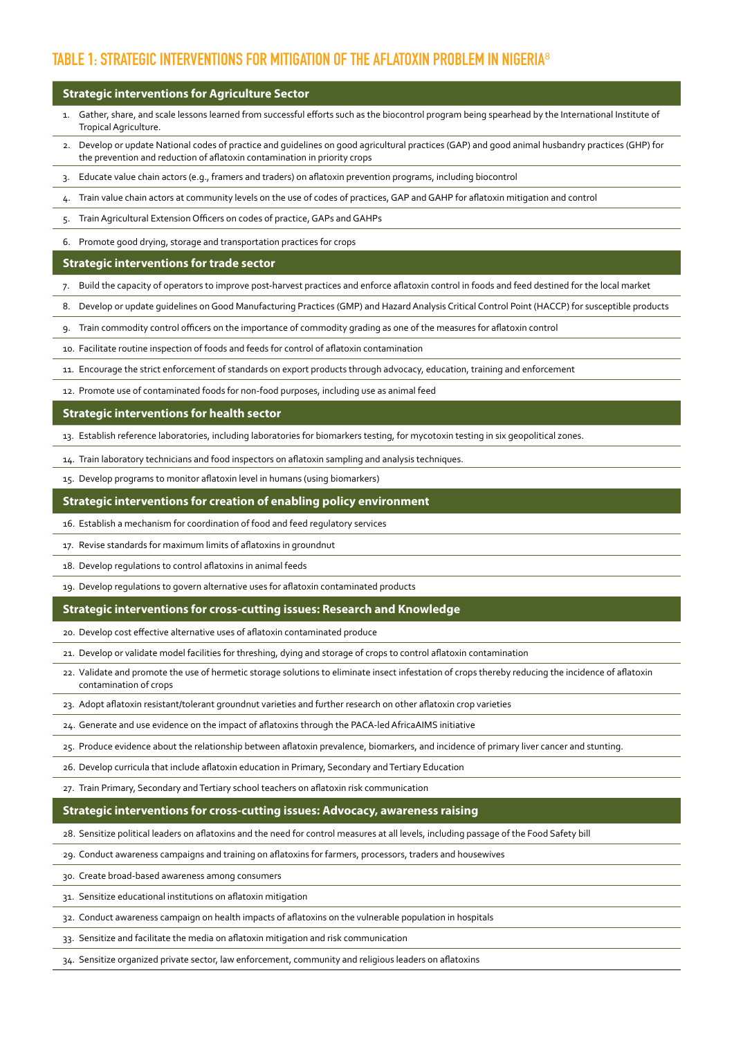#### **TABLE 1: STRATEGIC INTERVENTIONS FOR MITIGATION OF THE AFLATOXIN PROBLEM IN NIGERIA**<sup>8</sup>

#### **Strategic interventions for Agriculture Sector**

- 1. Gather, share, and scale lessons learned from successful efforts such as the biocontrol program being spearhead by the International Institute of Tropical Agriculture.
- 2. Develop or update National codes of practice and guidelines on good agricultural practices (GAP) and good animal husbandry practices (GHP) for the prevention and reduction of aflatoxin contamination in priority crops
- 3. Educate value chain actors (e.g., framers and traders) on aflatoxin prevention programs, including biocontrol
- 4. Train value chain actors at community levels on the use of codes of practices, GAP and GAHP for aflatoxin mitigation and control
- 5. Train Agricultural Extension Officers on codes of practice, GAPs and GAHPs
- 6. Promote good drying, storage and transportation practices for crops

#### **Strategic interventions for trade sector**

- 7. Build the capacity of operators to improve post-harvest practices and enforce aflatoxin control in foods and feed destined for the local market
- 8. Develop or update guidelines on Good Manufacturing Practices (GMP) and Hazard Analysis Critical Control Point (HACCP) for susceptible products
- 9. Train commodity control officers on the importance of commodity grading as one of the measures for aflatoxin control
- 10. Facilitate routine inspection of foods and feeds for control of aflatoxin contamination
- 11. Encourage the strict enforcement of standards on export products through advocacy, education, training and enforcement
- 12. Promote use of contaminated foods for non-food purposes, including use as animal feed

#### **Strategic interventions for health sector**

- 13. Establish reference laboratories, including laboratories for biomarkers testing, for mycotoxin testing in six geopolitical zones.
- 14. Train laboratory technicians and food inspectors on aflatoxin sampling and analysis techniques.
- 15. Develop programs to monitor aflatoxin level in humans (using biomarkers)

#### **Strategic interventions for creation of enabling policy environment**

- 16. Establish a mechanism for coordination of food and feed regulatory services
- 17. Revise standards for maximum limits of aflatoxins in groundnut
- 18. Develop regulations to control aflatoxins in animal feeds
- 19. Develop regulations to govern alternative uses for aflatoxin contaminated products

#### **Strategic interventions for cross-cutting issues: Research and Knowledge**

- 20. Develop cost effective alternative uses of aflatoxin contaminated produce
- 21. Develop or validate model facilities for threshing, dying and storage of crops to control aflatoxin contamination
- 22. Validate and promote the use of hermetic storage solutions to eliminate insect infestation of crops thereby reducing the incidence of aflatoxin contamination of crops
- 23. Adopt aflatoxin resistant/tolerant groundnut varieties and further research on other aflatoxin crop varieties
- 24. Generate and use evidence on the impact of aflatoxins through the PACA-led AfricaAIMS initiative
- 25. Produce evidence about the relationship between aflatoxin prevalence, biomarkers, and incidence of primary liver cancer and stunting.
- 26. Develop curricula that include aflatoxin education in Primary, Secondary and Tertiary Education
- 27. Train Primary, Secondary and Tertiary school teachers on aflatoxin risk communication

#### **Strategic interventions for cross-cutting issues: Advocacy, awareness raising**

- 28. Sensitize political leaders on aflatoxins and the need for control measures at all levels, including passage of the Food Safety bill
- 29. Conduct awareness campaigns and training on aflatoxins for farmers, processors, traders and housewives
- 30. Create broad-based awareness among consumers
- 31. Sensitize educational institutions on aflatoxin mitigation
- 32. Conduct awareness campaign on health impacts of aflatoxins on the vulnerable population in hospitals
- 33. Sensitize and facilitate the media on aflatoxin mitigation and risk communication
- 34. Sensitize organized private sector, law enforcement, community and religious leaders on aflatoxins